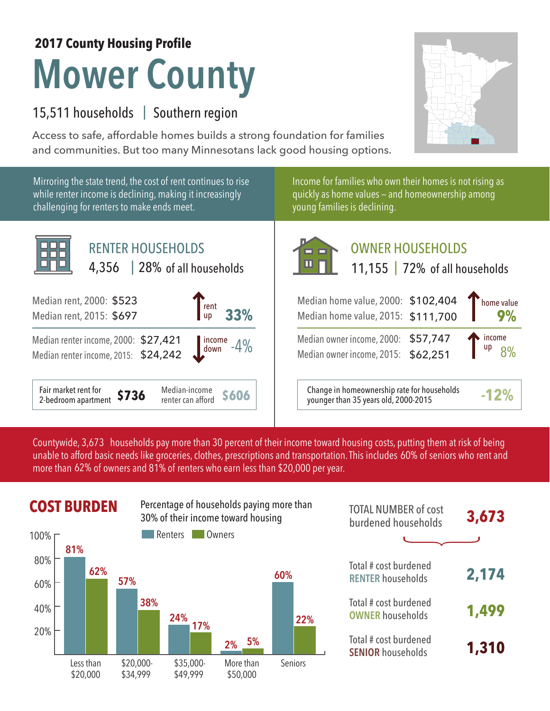# **2017 County Housing Profile**

# **Mower County**

### 15,511 households | Southern region

Access to safe, affordable homes builds a strong foundation for families and communities. But too many Minnesotans lack good housing options.



Mirroring the state trend, the cost of rent continues to rise while renter income is declining, making it increasingly challenging for renters to make ends meet.



Income for families who own their homes is not rising as quickly as home values — and homeownership among young families is declining.



## OWNER HOUSEHOLDS

|  | 11,155   72% of all households |
|--|--------------------------------|
|  |                                |

|                                                                            | 9%                                   |
|----------------------------------------------------------------------------|--------------------------------------|
| Median owner income, 2000: \$57,747<br>Median owner income, 2015: \$62,251 | $\int$ income<br>up $\frac{8\%}{\%}$ |
|                                                                            | Median home value, 2015: \$111,700   |

**\$606** Change in homeownership rate for households younger than 35 years old, 2000-2015 **-12%**

Countywide, 3,673  $\,$  households pay more than 30 percent of their income toward housing costs, putting them at risk of being  $\,$ unable to afford basic needs like groceries, clothes, prescriptions and transportation. This includes 60% of seniors who rent and more than 62% of owners and 81% of renters who earn less than \$20,000 per year.



|            | <b>COST BURDEN</b> |          | Percentage of households paying more than<br>30% of their income toward housing |           | <b>TOTAL NUMBER of cost</b><br>burdened households | 3,673                                             |       |
|------------|--------------------|----------|---------------------------------------------------------------------------------|-----------|----------------------------------------------------|---------------------------------------------------|-------|
| 100% г     | 81%                |          | Renters                                                                         | Owners    |                                                    |                                                   |       |
| 80%<br>60% | 62%                | 57%      |                                                                                 |           | 60%                                                | Total # cost burdened<br><b>RENTER households</b> | 2,174 |
| 40%        |                    | 38%      | 24%                                                                             |           | 22%                                                | Total # cost burdened<br><b>OWNER households</b>  | 1,499 |
| 20%        |                    |          | 17%                                                                             | 5%<br>2%  |                                                    | Total # cost burdened<br><b>SENIOR households</b> | 1,310 |
|            | Less than          | \$20.000 | $$35.000-$                                                                      | More than | <b>Seniors</b>                                     |                                                   |       |